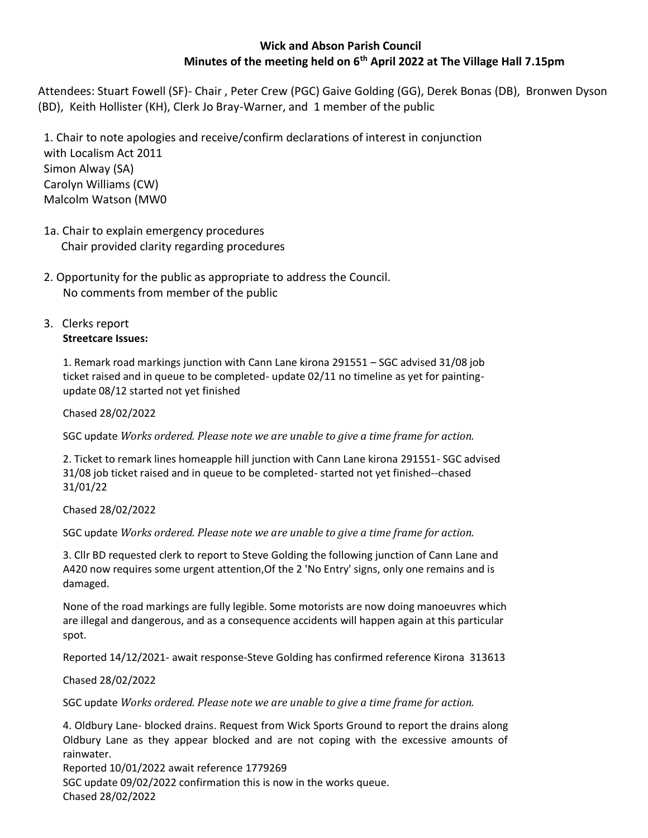# **Wick and Abson Parish Council Minutes of the meeting held on 6th April 2022 at The Village Hall 7.15pm**

Attendees: Stuart Fowell (SF)- Chair , Peter Crew (PGC) Gaive Golding (GG), Derek Bonas (DB), Bronwen Dyson (BD), Keith Hollister (KH), Clerk Jo Bray-Warner, and 1 member of the public

1. Chair to note apologies and receive/confirm declarations of interest in conjunction with Localism Act 2011 Simon Alway (SA) Carolyn Williams (CW) Malcolm Watson (MW0

- 1a. Chair to explain emergency procedures Chair provided clarity regarding procedures
- 2. Opportunity for the public as appropriate to address the Council. No comments from member of the public
- 3. Clerks report **Streetcare Issues:**

1. Remark road markings junction with Cann Lane kirona 291551 – SGC advised 31/08 job ticket raised and in queue to be completed- update 02/11 no timeline as yet for paintingupdate 08/12 started not yet finished

Chased 28/02/2022

SGC update *Works ordered. Please note we are unable to give a time frame for action.*

2. Ticket to remark lines homeapple hill junction with Cann Lane kirona 291551- SGC advised 31/08 job ticket raised and in queue to be completed- started not yet finished--chased 31/01/22

Chased 28/02/2022

SGC update *Works ordered. Please note we are unable to give a time frame for action.*

3. Cllr BD requested clerk to report to Steve Golding the following junction of Cann Lane and A420 now requires some urgent attention,Of the 2 'No Entry' signs, only one remains and is damaged.

None of the road markings are fully legible. Some motorists are now doing manoeuvres which are illegal and dangerous, and as a consequence accidents will happen again at this particular spot.

Reported 14/12/2021- await response-Steve Golding has confirmed reference Kirona 313613

Chased 28/02/2022

SGC update *Works ordered. Please note we are unable to give a time frame for action.*

4. Oldbury Lane- blocked drains. Request from Wick Sports Ground to report the drains along Oldbury Lane as they appear blocked and are not coping with the excessive amounts of rainwater.

Reported 10/01/2022 await reference 1779269 SGC update 09/02/2022 confirmation this is now in the works queue. Chased 28/02/2022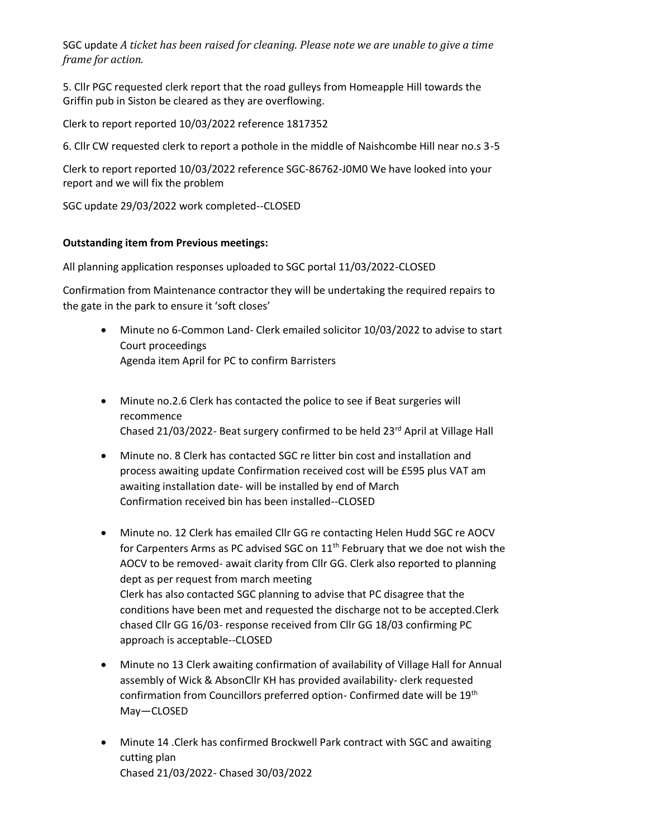SGC update *A ticket has been raised for cleaning. Please note we are unable to give a time frame for action.*

5. Cllr PGC requested clerk report that the road gulleys from Homeapple Hill towards the Griffin pub in Siston be cleared as they are overflowing.

Clerk to report reported 10/03/2022 reference 1817352

6. Cllr CW requested clerk to report a pothole in the middle of Naishcombe Hill near no.s 3-5

Clerk to report reported 10/03/2022 reference SGC-86762-J0M0 We have looked into your report and we will fix the problem

SGC update 29/03/2022 work completed--CLOSED

# **Outstanding item from Previous meetings:**

All planning application responses uploaded to SGC portal 11/03/2022-CLOSED

Confirmation from Maintenance contractor they will be undertaking the required repairs to the gate in the park to ensure it 'soft closes'

- Minute no 6-Common Land- Clerk emailed solicitor 10/03/2022 to advise to start Court proceedings Agenda item April for PC to confirm Barristers
- Minute no.2.6 Clerk has contacted the police to see if Beat surgeries will recommence Chased 21/03/2022- Beat surgery confirmed to be held 23rd April at Village Hall
- Minute no. 8 Clerk has contacted SGC re litter bin cost and installation and process awaiting update Confirmation received cost will be £595 plus VAT am awaiting installation date- will be installed by end of March Confirmation received bin has been installed--CLOSED
- Minute no. 12 Clerk has emailed Cllr GG re contacting Helen Hudd SGC re AOCV for Carpenters Arms as PC advised SGC on  $11<sup>th</sup>$  February that we doe not wish the AOCV to be removed- await clarity from Cllr GG. Clerk also reported to planning dept as per request from march meeting Clerk has also contacted SGC planning to advise that PC disagree that the conditions have been met and requested the discharge not to be accepted.Clerk chased Cllr GG 16/03- response received from Cllr GG 18/03 confirming PC approach is acceptable--CLOSED
- Minute no 13 Clerk awaiting confirmation of availability of Village Hall for Annual assembly of Wick & AbsonCllr KH has provided availability- clerk requested confirmation from Councillors preferred option- Confirmed date will be 19<sup>th</sup> May—CLOSED
- Minute 14 .Clerk has confirmed Brockwell Park contract with SGC and awaiting cutting plan Chased 21/03/2022- Chased 30/03/2022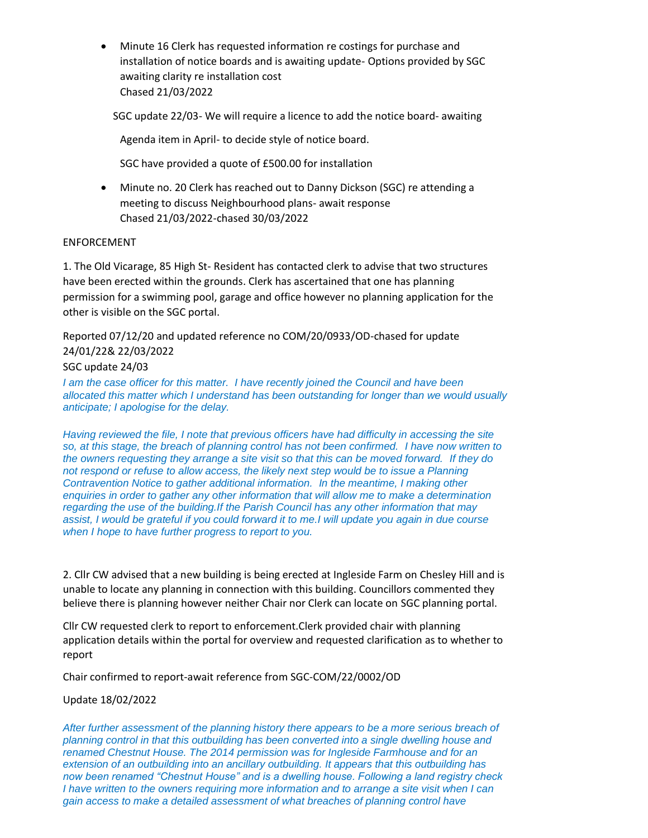• Minute 16 Clerk has requested information re costings for purchase and installation of notice boards and is awaiting update- Options provided by SGC awaiting clarity re installation cost Chased 21/03/2022

SGC update 22/03- We will require a licence to add the notice board- awaiting

Agenda item in April- to decide style of notice board.

SGC have provided a quote of £500.00 for installation

• Minute no. 20 Clerk has reached out to Danny Dickson (SGC) re attending a meeting to discuss Neighbourhood plans- await response Chased 21/03/2022-chased 30/03/2022

# ENFORCEMENT

1. The Old Vicarage, 85 High St- Resident has contacted clerk to advise that two structures have been erected within the grounds. Clerk has ascertained that one has planning permission for a swimming pool, garage and office however no planning application for the other is visible on the SGC portal.

Reported 07/12/20 and updated reference no COM/20/0933/OD-chased for update 24/01/22& 22/03/2022

SGC update 24/03

*I am the case officer for this matter. I have recently joined the Council and have been allocated this matter which I understand has been outstanding for longer than we would usually anticipate; I apologise for the delay.*

*Having reviewed the file, I note that previous officers have had difficulty in accessing the site so, at this stage, the breach of planning control has not been confirmed. I have now written to the owners requesting they arrange a site visit so that this can be moved forward. If they do not respond or refuse to allow access, the likely next step would be to issue a Planning Contravention Notice to gather additional information. In the meantime, I making other enquiries in order to gather any other information that will allow me to make a determination regarding the use of the building.If the Parish Council has any other information that may assist, I would be grateful if you could forward it to me.I will update you again in due course when I hope to have further progress to report to you.*

2. Cllr CW advised that a new building is being erected at Ingleside Farm on Chesley Hill and is unable to locate any planning in connection with this building. Councillors commented they believe there is planning however neither Chair nor Clerk can locate on SGC planning portal.

Cllr CW requested clerk to report to enforcement.Clerk provided chair with planning application details within the portal for overview and requested clarification as to whether to report

Chair confirmed to report-await reference from SGC-COM/22/0002/OD

Update 18/02/2022

*After further assessment of the planning history there appears to be a more serious breach of planning control in that this outbuilding has been converted into a single dwelling house and renamed Chestnut House. The 2014 permission was for Ingleside Farmhouse and for an extension of an outbuilding into an ancillary outbuilding. It appears that this outbuilding has now been renamed "Chestnut House" and is a dwelling house. Following a land registry check I have written to the owners requiring more information and to arrange a site visit when I can gain access to make a detailed assessment of what breaches of planning control have*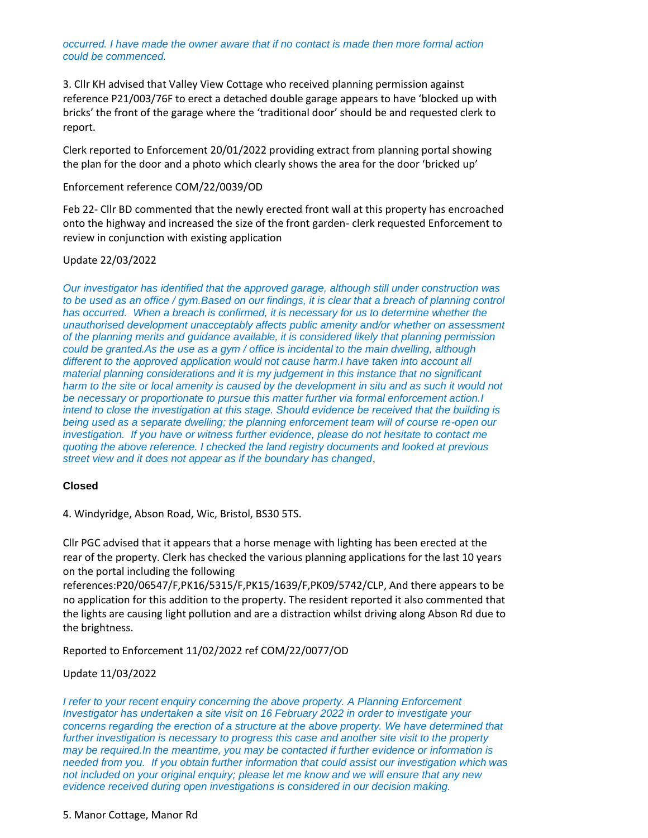*occurred. I have made the owner aware that if no contact is made then more formal action could be commenced.*

3. Cllr KH advised that Valley View Cottage who received planning permission against reference P21/003/76F to erect a detached double garage appears to have 'blocked up with bricks' the front of the garage where the 'traditional door' should be and requested clerk to report.

Clerk reported to Enforcement 20/01/2022 providing extract from planning portal showing the plan for the door and a photo which clearly shows the area for the door 'bricked up'

### Enforcement reference COM/22/0039/OD

Feb 22- Cllr BD commented that the newly erected front wall at this property has encroached onto the highway and increased the size of the front garden- clerk requested Enforcement to review in conjunction with existing application

# Update 22/03/2022

*Our investigator has identified that the approved garage, although still under construction was to be used as an office / gym.Based on our findings, it is clear that a breach of planning control has occurred. When a breach is confirmed, it is necessary for us to determine whether the unauthorised development unacceptably affects public amenity and/or whether on assessment of the planning merits and guidance available, it is considered likely that planning permission could be granted.As the use as a gym / office is incidental to the main dwelling, although different to the approved application would not cause harm.I have taken into account all material planning considerations and it is my judgement in this instance that no significant harm to the site or local amenity is caused by the development in situ and as such it would not be necessary or proportionate to pursue this matter further via formal enforcement action.I intend to close the investigation at this stage. Should evidence be received that the building is being used as a separate dwelling; the planning enforcement team will of course re-open our investigation. If you have or witness further evidence, please do not hesitate to contact me quoting the above reference. I checked the land registry documents and looked at previous street view and it does not appear as if the boundary has changed*,

#### **Closed**

4. Windyridge, Abson Road, Wic, Bristol, BS30 5TS.

Cllr PGC advised that it appears that a horse menage with lighting has been erected at the rear of the property. Clerk has checked the various planning applications for the last 10 years on the portal including the following

references:P20/06547/F,PK16/5315/F,PK15/1639/F,PK09/5742/CLP, And there appears to be no application for this addition to the property. The resident reported it also commented that the lights are causing light pollution and are a distraction whilst driving along Abson Rd due to the brightness.

Reported to Enforcement 11/02/2022 ref COM/22/0077/OD

# Update 11/03/2022

*I* refer to your recent enquiry concerning the above property. A Planning Enforcement *Investigator has undertaken a site visit on 16 February 2022 in order to investigate your concerns regarding the erection of a structure at the above property. We have determined that further investigation is necessary to progress this case and another site visit to the property may be required.In the meantime, you may be contacted if further evidence or information is needed from you. If you obtain further information that could assist our investigation which was not included on your original enquiry; please let me know and we will ensure that any new evidence received during open investigations is considered in our decision making.*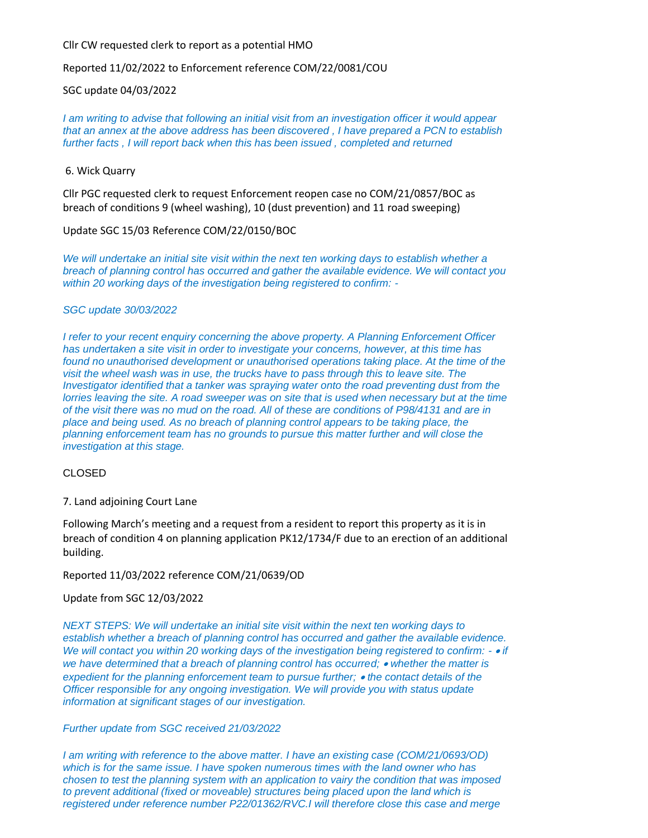# Cllr CW requested clerk to report as a potential HMO

Reported 11/02/2022 to Enforcement reference COM/22/0081/COU

SGC update 04/03/2022

*I am writing to advise that following an initial visit from an investigation officer it would appear that an annex at the above address has been discovered , I have prepared a PCN to establish further facts , I will report back when this has been issued , completed and returned*

#### 6. Wick Quarry

Cllr PGC requested clerk to request Enforcement reopen case no COM/21/0857/BOC as breach of conditions 9 (wheel washing), 10 (dust prevention) and 11 road sweeping)

# Update SGC 15/03 Reference COM/22/0150/BOC

*We will undertake an initial site visit within the next ten working days to establish whether a breach of planning control has occurred and gather the available evidence. We will contact you within 20 working days of the investigation being registered to confirm: -*

#### *SGC update 30/03/2022*

*I refer to your recent enquiry concerning the above property. A Planning Enforcement Officer has undertaken a site visit in order to investigate your concerns, however, at this time has found no unauthorised development or unauthorised operations taking place. At the time of the visit the wheel wash was in use, the trucks have to pass through this to leave site. The Investigator identified that a tanker was spraying water onto the road preventing dust from the lorries leaving the site. A road sweeper was on site that is used when necessary but at the time of the visit there was no mud on the road. All of these are conditions of P98/4131 and are in place and being used. As no breach of planning control appears to be taking place, the planning enforcement team has no grounds to pursue this matter further and will close the investigation at this stage.*

# CLOSED

7. Land adjoining Court Lane

Following March's meeting and a request from a resident to report this property as it is in breach of condition 4 on planning application PK12/1734/F due to an erection of an additional building.

# Reported 11/03/2022 reference COM/21/0639/OD

# Update from SGC 12/03/2022

*NEXT STEPS: We will undertake an initial site visit within the next ten working days to establish whether a breach of planning control has occurred and gather the available evidence. We will contact you within 20 working days of the investigation being registered to confirm: -* • *if we have determined that a breach of planning control has occurred;* • *whether the matter is expedient for the planning enforcement team to pursue further;* • *the contact details of the Officer responsible for any ongoing investigation. We will provide you with status update information at significant stages of our investigation.*

# *Further update from SGC received 21/03/2022*

*I am writing with reference to the above matter. I have an existing case (COM/21/0693/OD) which is for the same issue. I have spoken numerous times with the land owner who has chosen to test the planning system with an application to vairy the condition that was imposed to prevent additional (fixed or moveable) structures being placed upon the land which is registered under reference number P22/01362/RVC.I will therefore close this case and merge*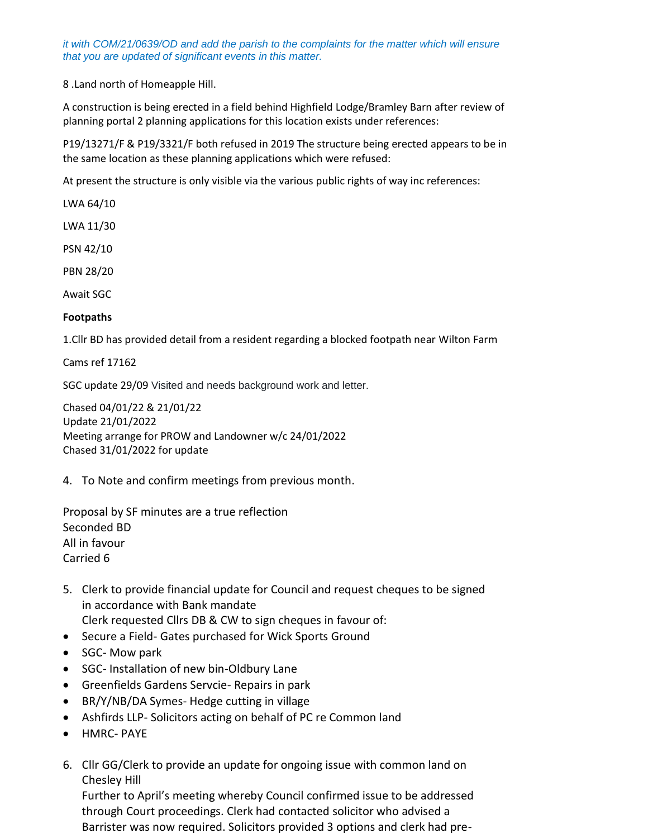*it with COM/21/0639/OD and add the parish to the complaints for the matter which will ensure that you are updated of significant events in this matter.*

8 .Land north of Homeapple Hill.

A construction is being erected in a field behind Highfield Lodge/Bramley Barn after review of planning portal 2 planning applications for this location exists under references:

P19/13271/F & P19/3321/F both refused in 2019 The structure being erected appears to be in the same location as these planning applications which were refused:

At present the structure is only visible via the various public rights of way inc references:

LWA 64/10

LWA 11/30

PSN 42/10

PBN 28/20

Await SGC

# **Footpaths**

1.Cllr BD has provided detail from a resident regarding a blocked footpath near Wilton Farm

Cams ref 17162

SGC update 29/09 Visited and needs background work and letter.

Chased 04/01/22 & 21/01/22 Update 21/01/2022 Meeting arrange for PROW and Landowner w/c 24/01/2022 Chased 31/01/2022 for update

4. To Note and confirm meetings from previous month.

Proposal by SF minutes are a true reflection Seconded BD All in favour Carried 6

- 5. Clerk to provide financial update for Council and request cheques to be signed in accordance with Bank mandate Clerk requested Cllrs DB & CW to sign cheques in favour of:
- Secure a Field- Gates purchased for Wick Sports Ground
- SGC- Mow park
- SGC- Installation of new bin-Oldbury Lane
- Greenfields Gardens Servcie- Repairs in park
- BR/Y/NB/DA Symes- Hedge cutting in village
- Ashfirds LLP- Solicitors acting on behalf of PC re Common land
- HMRC- PAYE
- 6. Cllr GG/Clerk to provide an update for ongoing issue with common land on Chesley Hill

Further to April's meeting whereby Council confirmed issue to be addressed through Court proceedings. Clerk had contacted solicitor who advised a Barrister was now required. Solicitors provided 3 options and clerk had pre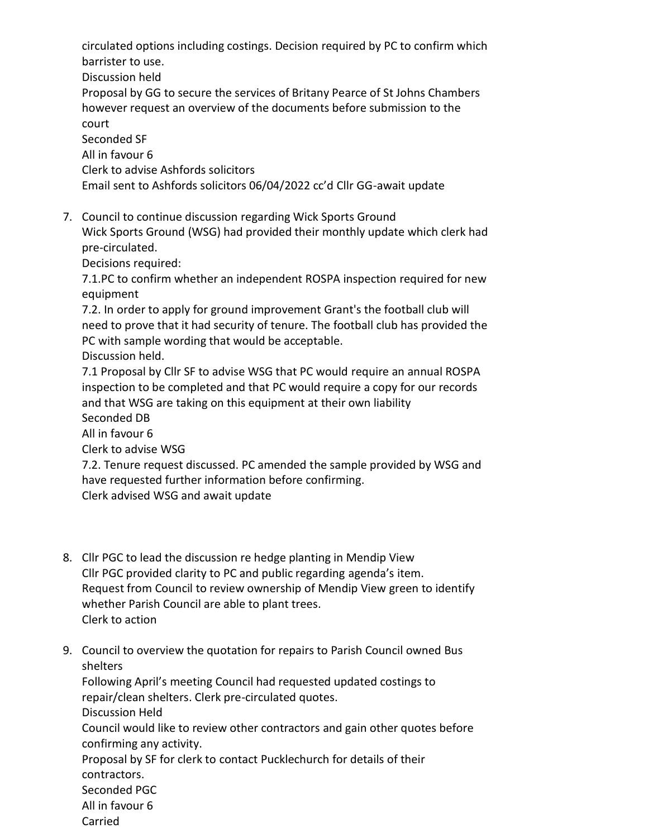circulated options including costings. Decision required by PC to confirm which barrister to use.

Discussion held

Proposal by GG to secure the services of Britany Pearce of St Johns Chambers however request an overview of the documents before submission to the court

Seconded SF

All in favour 6

Clerk to advise Ashfords solicitors

Email sent to Ashfords solicitors 06/04/2022 cc'd Cllr GG-await update

7. Council to continue discussion regarding Wick Sports Ground

Wick Sports Ground (WSG) had provided their monthly update which clerk had pre-circulated.

Decisions required:

7.1.PC to confirm whether an independent ROSPA inspection required for new equipment

7.2. In order to apply for ground improvement Grant's the football club will need to prove that it had security of tenure. The football club has provided the PC with sample wording that would be acceptable.

Discussion held.

7.1 Proposal by Cllr SF to advise WSG that PC would require an annual ROSPA inspection to be completed and that PC would require a copy for our records and that WSG are taking on this equipment at their own liability Seconded DB

All in favour 6

Clerk to advise WSG

7.2. Tenure request discussed. PC amended the sample provided by WSG and have requested further information before confirming. Clerk advised WSG and await update

- 8. Cllr PGC to lead the discussion re hedge planting in Mendip View Cllr PGC provided clarity to PC and public regarding agenda's item. Request from Council to review ownership of Mendip View green to identify whether Parish Council are able to plant trees. Clerk to action
- 9. Council to overview the quotation for repairs to Parish Council owned Bus shelters

Following April's meeting Council had requested updated costings to repair/clean shelters. Clerk pre-circulated quotes. Discussion Held Council would like to review other contractors and gain other quotes before

confirming any activity. Proposal by SF for clerk to contact Pucklechurch for details of their contractors.

Seconded PGC

- All in favour 6
- Carried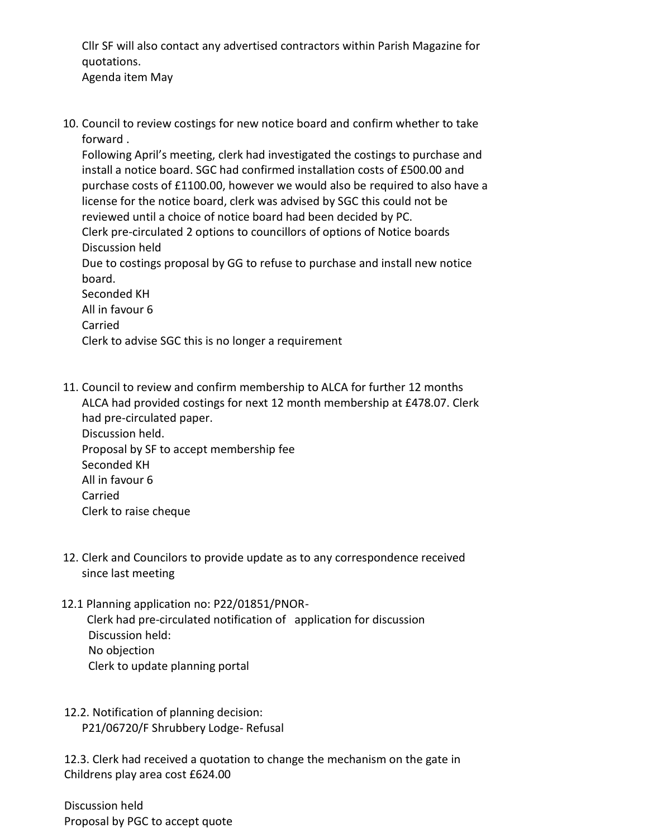Cllr SF will also contact any advertised contractors within Parish Magazine for quotations.

- Agenda item May
- 10. Council to review costings for new notice board and confirm whether to take forward .

Following April's meeting, clerk had investigated the costings to purchase and install a notice board. SGC had confirmed installation costs of £500.00 and purchase costs of £1100.00, however we would also be required to also have a license for the notice board, clerk was advised by SGC this could not be reviewed until a choice of notice board had been decided by PC. Clerk pre-circulated 2 options to councillors of options of Notice boards

Discussion held

Due to costings proposal by GG to refuse to purchase and install new notice board.

Seconded KH All in favour 6 Carried Clerk to advise SGC this is no longer a requirement

- 11. Council to review and confirm membership to ALCA for further 12 months ALCA had provided costings for next 12 month membership at £478.07. Clerk had pre-circulated paper. Discussion held. Proposal by SF to accept membership fee Seconded KH All in favour 6 Carried Clerk to raise cheque
- 12. Clerk and Councilors to provide update as to any correspondence received since last meeting
- 12.1 Planning application no: P22/01851/PNOR- Clerk had pre-circulated notification of application for discussion Discussion held: No objection Clerk to update planning portal
- 12.2. Notification of planning decision: P21/06720/F Shrubbery Lodge- Refusal

 12.3. Clerk had received a quotation to change the mechanism on the gate in Childrens play area cost £624.00

 Discussion held Proposal by PGC to accept quote